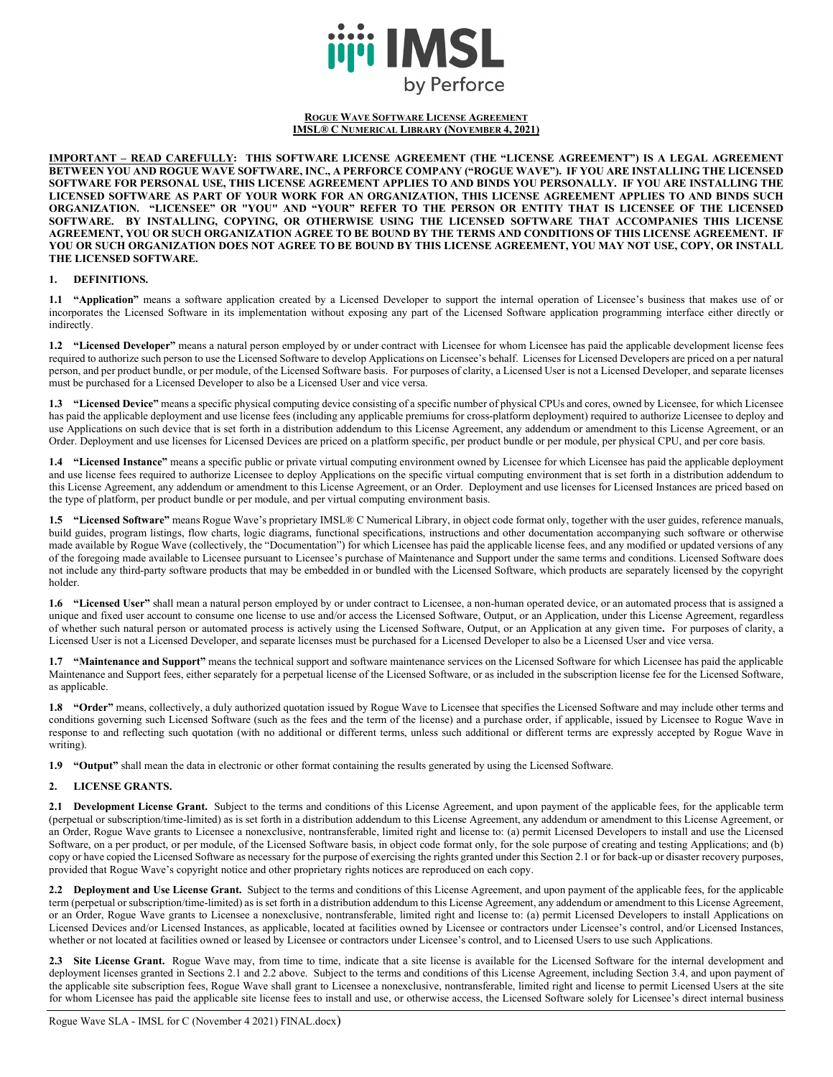

#### **ROGUE WAVE SOFTWARE LICENSE AGREEMENT IMSL® C NUMERICAL LIBRARY (NOVEMBER 4, 2021)**

**IMPORTANT – READ CAREFULLY: THIS SOFTWARE LICENSE AGREEMENT (THE "LICENSE AGREEMENT") IS A LEGAL AGREEMENT BETWEEN YOU AND ROGUE WAVE SOFTWARE, INC., A PERFORCE COMPANY ("ROGUE WAVE"). IF YOU ARE INSTALLING THE LICENSED SOFTWARE FOR PERSONAL USE, THIS LICENSE AGREEMENT APPLIES TO AND BINDS YOU PERSONALLY. IF YOU ARE INSTALLING THE LICENSED SOFTWARE AS PART OF YOUR WORK FOR AN ORGANIZATION, THIS LICENSE AGREEMENT APPLIES TO AND BINDS SUCH ORGANIZATION. "LICENSEE" OR "YOU" AND "YOUR" REFER TO THE PERSON OR ENTITY THAT IS LICENSEE OF THE LICENSED SOFTWARE. BY INSTALLING, COPYING, OR OTHERWISE USING THE LICENSED SOFTWARE THAT ACCOMPANIES THIS LICENSE AGREEMENT, YOU OR SUCH ORGANIZATION AGREE TO BE BOUND BY THE TERMS AND CONDITIONS OF THIS LICENSE AGREEMENT. IF YOU OR SUCH ORGANIZATION DOES NOT AGREE TO BE BOUND BY THIS LICENSE AGREEMENT, YOU MAY NOT USE, COPY, OR INSTALL THE LICENSED SOFTWARE.**

### **1. DEFINITIONS.**

**1.1 "Application"** means a software application created by a Licensed Developer to support the internal operation of Licensee's business that makes use of or incorporates the Licensed Software in its implementation without exposing any part of the Licensed Software application programming interface either directly or indirectly.

**1.2 "Licensed Developer"** means a natural person employed by or under contract with Licensee for whom Licensee has paid the applicable development license fees required to authorize such person to use the Licensed Software to develop Applications on Licensee's behalf. Licenses for Licensed Developers are priced on a per natural person, and per product bundle, or per module, of the Licensed Software basis. For purposes of clarity, a Licensed User is not a Licensed Developer, and separate licenses must be purchased for a Licensed Developer to also be a Licensed User and vice versa.

**1.3 "Licensed Device"** means a specific physical computing device consisting of a specific number of physical CPUs and cores, owned by Licensee, for which Licensee has paid the applicable deployment and use license fees (including any applicable premiums for cross-platform deployment) required to authorize Licensee to deploy and use Applications on such device that is set forth in a distribution addendum to this License Agreement, any addendum or amendment to this License Agreement, or an Order. Deployment and use licenses for Licensed Devices are priced on a platform specific, per product bundle or per module, per physical CPU, and per core basis.

**1.4 "Licensed Instance"** means a specific public or private virtual computing environment owned by Licensee for which Licensee has paid the applicable deployment and use license fees required to authorize Licensee to deploy Applications on the specific virtual computing environment that is set forth in a distribution addendum to this License Agreement, any addendum or amendment to this License Agreement, or an Order. Deployment and use licenses for Licensed Instances are priced based on the type of platform, per product bundle or per module, and per virtual computing environment basis.

**1.5 "Licensed Software"** means Rogue Wave's proprietary IMSL® C Numerical Library, in object code format only, together with the user guides, reference manuals, build guides, program listings, flow charts, logic diagrams, functional specifications, instructions and other documentation accompanying such software or otherwise made available by Rogue Wave (collectively, the "Documentation") for which Licensee has paid the applicable license fees, and any modified or updated versions of any of the foregoing made available to Licensee pursuant to Licensee's purchase of Maintenance and Support under the same terms and conditions. Licensed Software does not include any third-party software products that may be embedded in or bundled with the Licensed Software, which products are separately licensed by the copyright holder.

**1.6 "Licensed User"** shall mean a natural person employed by or under contract to Licensee, a non-human operated device, or an automated process that is assigned a unique and fixed user account to consume one license to use and/or access the Licensed Software, Output, or an Application, under this License Agreement, regardless of whether such natural person or automated process is actively using the Licensed Software, Output, or an Application at any given time**.** For purposes of clarity, a Licensed User is not a Licensed Developer, and separate licenses must be purchased for a Licensed Developer to also be a Licensed User and vice versa.

**1.7 "Maintenance and Support"** means the technical support and software maintenance services on the Licensed Software for which Licensee has paid the applicable Maintenance and Support fees, either separately for a perpetual license of the Licensed Software, or as included in the subscription license fee for the Licensed Software, as applicable.

1.8 **"Order"** means, collectively, a duly authorized quotation issued by Rogue Wave to Licensee that specifies the Licensed Software and may include other terms and conditions governing such Licensed Software (such as the fees and the term of the license) and a purchase order, if applicable, issued by Licensee to Rogue Wave in response to and reflecting such quotation (with no additional or different terms, unless such additional or different terms are expressly accepted by Rogue Wave in writing).

**1.9 "Output"** shall mean the data in electronic or other format containing the results generated by using the Licensed Software.

## **2. LICENSE GRANTS.**

**2.1 Development License Grant.** Subject to the terms and conditions of this License Agreement, and upon payment of the applicable fees, for the applicable term (perpetual or subscription/time-limited) as is set forth in a distribution addendum to this License Agreement, any addendum or amendment to this License Agreement, or an Order, Rogue Wave grants to Licensee a nonexclusive, nontransferable, limited right and license to: (a) permit Licensed Developers to install and use the Licensed Software, on a per product, or per module, of the Licensed Software basis, in object code format only, for the sole purpose of creating and testing Applications; and (b) copy or have copied the Licensed Software as necessary for the purpose of exercising the rights granted under this Section 2.1 or for back-up or disaster recovery purposes, provided that Rogue Wave's copyright notice and other proprietary rights notices are reproduced on each copy.

**2.2 Deployment and Use License Grant.** Subject to the terms and conditions of this License Agreement, and upon payment of the applicable fees, for the applicable term (perpetual or subscription/time-limited) as is set forth in a distribution addendum to this License Agreement, any addendum or amendment to this License Agreement, or an Order, Rogue Wave grants to Licensee a nonexclusive, nontransferable, limited right and license to: (a) permit Licensed Developers to install Applications on Licensed Devices and/or Licensed Instances, as applicable, located at facilities owned by Licensee or contractors under Licensee's control, and/or Licensed Instances, whether or not located at facilities owned or leased by Licensee or contractors under Licensee's control, and to Licensed Users to use such Applications.

**2.3 Site License Grant.** Rogue Wave may, from time to time, indicate that a site license is available for the Licensed Software for the internal development and deployment licenses granted in Sections 2.1 and 2.2 above. Subject to the terms and conditions of this License Agreement, including Section 3.4, and upon payment of the applicable site subscription fees, Rogue Wave shall grant to Licensee a nonexclusive, nontransferable, limited right and license to permit Licensed Users at the site for whom Licensee has paid the applicable site license fees to install and use, or otherwise access, the Licensed Software solely for Licensee's direct internal business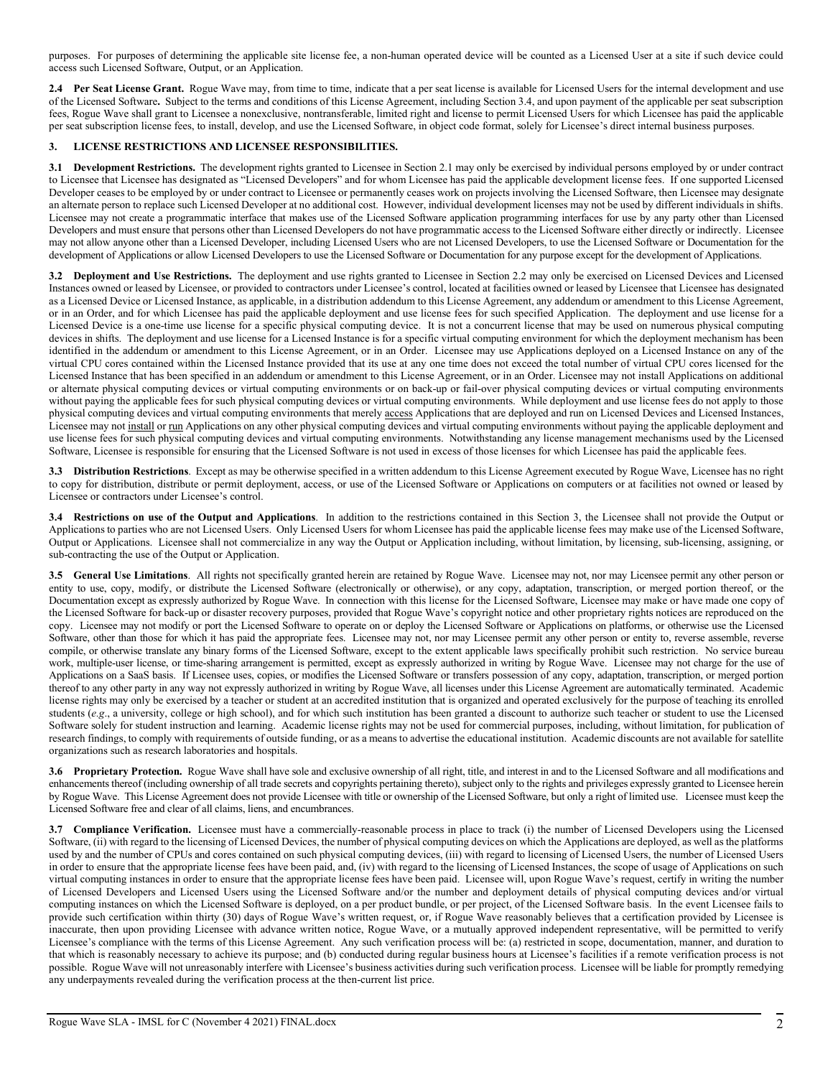purposes. For purposes of determining the applicable site license fee, a non-human operated device will be counted as a Licensed User at a site if such device could access such Licensed Software, Output, or an Application.

2.4 Per Seat License Grant. Rogue Wave may, from time to time, indicate that a per seat license is available for Licensed Users for the internal development and use of the Licensed Software**.** Subject to the terms and conditions of this License Agreement, including Section 3.4, and upon payment of the applicable per seat subscription fees, Rogue Wave shall grant to Licensee a nonexclusive, nontransferable, limited right and license to permit Licensed Users for which Licensee has paid the applicable per seat subscription license fees, to install, develop, and use the Licensed Software, in object code format, solely for Licensee's direct internal business purposes.

## **3. LICENSE RESTRICTIONS AND LICENSEE RESPONSIBILITIES.**

**3.1 Development Restrictions.** The development rights granted to Licensee in Section 2.1 may only be exercised by individual persons employed by or under contract to Licensee that Licensee has designated as "Licensed Developers" and for whom Licensee has paid the applicable development license fees. If one supported Licensed Developer ceases to be employed by or under contract to Licensee or permanently ceases work on projects involving the Licensed Software, then Licensee may designate an alternate person to replace such Licensed Developer at no additional cost. However, individual development licenses may not be used by different individuals in shifts. Licensee may not create a programmatic interface that makes use of the Licensed Software application programming interfaces for use by any party other than Licensed Developers and must ensure that persons other than Licensed Developers do not have programmatic access to the Licensed Software either directly or indirectly. Licensee may not allow anyone other than a Licensed Developer, including Licensed Users who are not Licensed Developers, to use the Licensed Software or Documentation for the development of Applications or allow Licensed Developers to use the Licensed Software or Documentation for any purpose except for the development of Applications.

**3.2 Deployment and Use Restrictions.** The deployment and use rights granted to Licensee in Section 2.2 may only be exercised on Licensed Devices and Licensed Instances owned or leased by Licensee, or provided to contractors under Licensee's control, located at facilities owned or leased by Licensee that Licensee has designated as a Licensed Device or Licensed Instance, as applicable, in a distribution addendum to this License Agreement, any addendum or amendment to this License Agreement, or in an Order, and for which Licensee has paid the applicable deployment and use license fees for such specified Application. The deployment and use license for a Licensed Device is a one-time use license for a specific physical computing device. It is not a concurrent license that may be used on numerous physical computing devices in shifts. The deployment and use license for a Licensed Instance is for a specific virtual computing environment for which the deployment mechanism has been identified in the addendum or amendment to this License Agreement, or in an Order. Licensee may use Applications deployed on a Licensed Instance on any of the virtual CPU cores contained within the Licensed Instance provided that its use at any one time does not exceed the total number of virtual CPU cores licensed for the Licensed Instance that has been specified in an addendum or amendment to this License Agreement, or in an Order. Licensee may not install Applications on additional or alternate physical computing devices or virtual computing environments or on back-up or fail-over physical computing devices or virtual computing environments without paying the applicable fees for such physical computing devices or virtual computing environments. While deployment and use license fees do not apply to those physical computing devices and virtual computing environments that merely access Applications that are deployed and run on Licensed Devices and Licensed Instances, Licensee may not install or run Applications on any other physical computing devices and virtual computing environments without paying the applicable deployment and use license fees for such physical computing devices and virtual computing environments. Notwithstanding any license management mechanisms used by the Licensed Software, Licensee is responsible for ensuring that the Licensed Software is not used in excess of those licenses for which Licensee has paid the applicable fees.

**3.3 Distribution Restrictions**. Except as may be otherwise specified in a written addendum to this License Agreement executed by Rogue Wave, Licensee has no right to copy for distribution, distribute or permit deployment, access, or use of the Licensed Software or Applications on computers or at facilities not owned or leased by Licensee or contractors under Licensee's control.

**3.4 Restrictions on use of the Output and Applications**. In addition to the restrictions contained in this Section 3, the Licensee shall not provide the Output or Applications to parties who are not Licensed Users. Only Licensed Users for whom Licensee has paid the applicable license fees may make use of the Licensed Software, Output or Applications. Licensee shall not commercialize in any way the Output or Application including, without limitation, by licensing, sub-licensing, assigning, or sub-contracting the use of the Output or Application.

**3.5 General Use Limitations**. All rights not specifically granted herein are retained by Rogue Wave. Licensee may not, nor may Licensee permit any other person or entity to use, copy, modify, or distribute the Licensed Software (electronically or otherwise), or any copy, adaptation, transcription, or merged portion thereof, or the Documentation except as expressly authorized by Rogue Wave. In connection with this license for the Licensed Software, Licensee may make or have made one copy of the Licensed Software for back-up or disaster recovery purposes, provided that Rogue Wave's copyright notice and other proprietary rights notices are reproduced on the copy. Licensee may not modify or port the Licensed Software to operate on or deploy the Licensed Software or Applications on platforms, or otherwise use the Licensed Software, other than those for which it has paid the appropriate fees. Licensee may not, nor may Licensee permit any other person or entity to, reverse assemble, reverse compile, or otherwise translate any binary forms of the Licensed Software, except to the extent applicable laws specifically prohibit such restriction. No service bureau work, multiple-user license, or time-sharing arrangement is permitted, except as expressly authorized in writing by Rogue Wave. Licensee may not charge for the use of Applications on a SaaS basis. If Licensee uses, copies, or modifies the Licensed Software or transfers possession of any copy, adaptation, transcription, or merged portion thereof to any other party in any way not expressly authorized in writing by Rogue Wave, all licenses under this License Agreement are automatically terminated. Academic license rights may only be exercised by a teacher or student at an accredited institution that is organized and operated exclusively for the purpose of teaching its enrolled students (*e.g*., a university, college or high school), and for which such institution has been granted a discount to authorize such teacher or student to use the Licensed Software solely for student instruction and learning. Academic license rights may not be used for commercial purposes, including, without limitation, for publication of research findings, to comply with requirements of outside funding, or as a means to advertise the educational institution. Academic discounts are not available for satellite organizations such as research laboratories and hospitals.

**3.6 Proprietary Protection.** Rogue Wave shall have sole and exclusive ownership of all right, title, and interest in and to the Licensed Software and all modifications and enhancements thereof (including ownership of all trade secrets and copyrights pertaining thereto), subject only to the rights and privileges expressly granted to Licensee herein by Rogue Wave. This License Agreement does not provide Licensee with title or ownership of the Licensed Software, but only a right of limited use. Licensee must keep the Licensed Software free and clear of all claims, liens, and encumbrances.

**3.7 Compliance Verification.** Licensee must have a commercially-reasonable process in place to track (i) the number of Licensed Developers using the Licensed Software, (ii) with regard to the licensing of Licensed Devices, the number of physical computing devices on which the Applications are deployed, as well as the platforms used by and the number of CPUs and cores contained on such physical computing devices, (iii) with regard to licensing of Licensed Users, the number of Licensed Users in order to ensure that the appropriate license fees have been paid, and, (iv) with regard to the licensing of Licensed Instances, the scope of usage of Applications on such virtual computing instances in order to ensure that the appropriate license fees have been paid. Licensee will, upon Rogue Wave's request, certify in writing the number of Licensed Developers and Licensed Users using the Licensed Software and/or the number and deployment details of physical computing devices and/or virtual computing instances on which the Licensed Software is deployed, on a per product bundle, or per project, of the Licensed Software basis. In the event Licensee fails to provide such certification within thirty (30) days of Rogue Wave's written request, or, if Rogue Wave reasonably believes that a certification provided by Licensee is inaccurate, then upon providing Licensee with advance written notice, Rogue Wave, or a mutually approved independent representative, will be permitted to verify Licensee's compliance with the terms of this License Agreement. Any such verification process will be: (a) restricted in scope, documentation, manner, and duration to that which is reasonably necessary to achieve its purpose; and (b) conducted during regular business hours at Licensee's facilities if a remote verification process is not possible. Rogue Wave will not unreasonably interfere with Licensee's business activities during such verification process. Licensee will be liable for promptly remedying any underpayments revealed during the verification process at the then-current list price.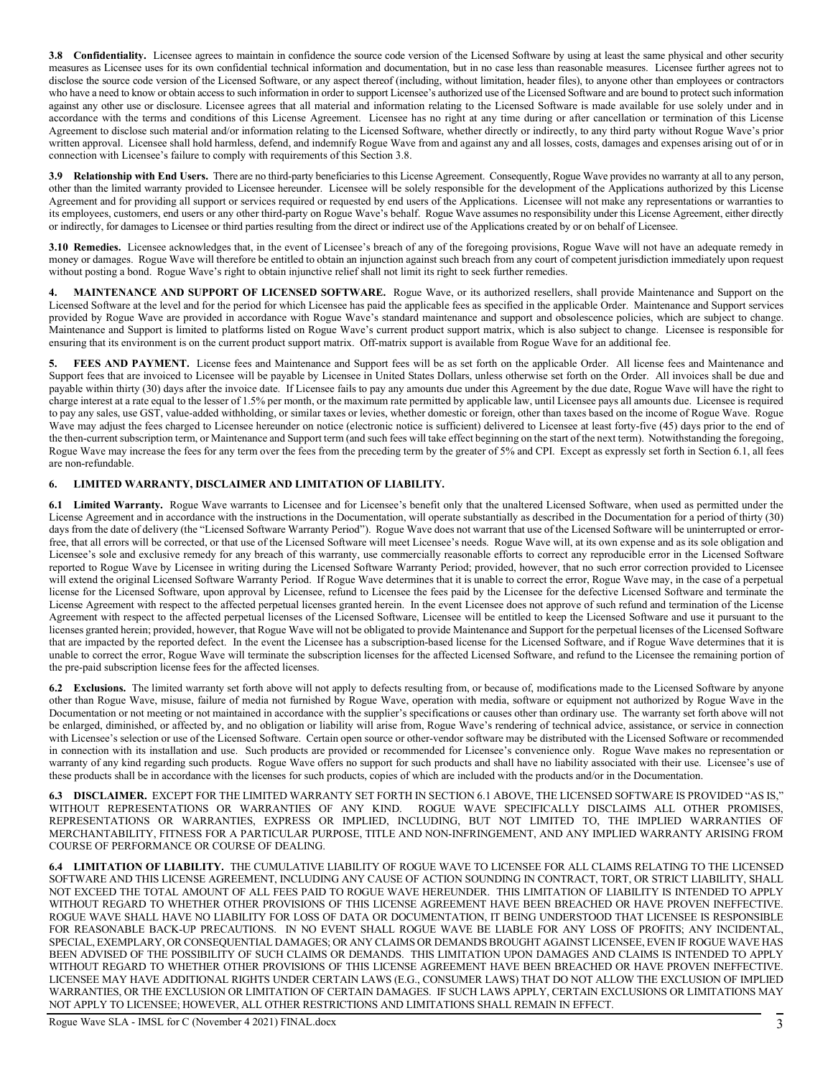**3.8 Confidentiality.** Licensee agrees to maintain in confidence the source code version of the Licensed Software by using at least the same physical and other security measures as Licensee uses for its own confidential technical information and documentation, but in no case less than reasonable measures. Licensee further agrees not to disclose the source code version of the Licensed Software, or any aspect thereof (including, without limitation, header files), to anyone other than employees or contractors who have a need to know or obtain access to such information in order to support Licensee's authorized use of the Licensed Software and are bound to protect such information against any other use or disclosure. Licensee agrees that all material and information relating to the Licensed Software is made available for use solely under and in accordance with the terms and conditions of this License Agreement. Licensee has no right at any time during or after cancellation or termination of this License Agreement to disclose such material and/or information relating to the Licensed Software, whether directly or indirectly, to any third party without Rogue Wave's prior written approval. Licensee shall hold harmless, defend, and indemnify Rogue Wave from and against any and all losses, costs, damages and expenses arising out of or in connection with Licensee's failure to comply with requirements of this Section 3.8.

**3.9 Relationship with End Users.** There are no third-party beneficiaries to this License Agreement. Consequently, Rogue Wave provides no warranty at all to any person, other than the limited warranty provided to Licensee hereunder. Licensee will be solely responsible for the development of the Applications authorized by this License Agreement and for providing all support or services required or requested by end users of the Applications. Licensee will not make any representations or warranties to its employees, customers, end users or any other third-party on Rogue Wave's behalf. Rogue Wave assumes no responsibility under this License Agreement, either directly or indirectly, for damages to Licensee or third parties resulting from the direct or indirect use of the Applications created by or on behalf of Licensee.

**3.10 Remedies.** Licensee acknowledges that, in the event of Licensee's breach of any of the foregoing provisions, Rogue Wave will not have an adequate remedy in money or damages. Rogue Wave will therefore be entitled to obtain an injunction against such breach from any court of competent jurisdiction immediately upon request without posting a bond. Rogue Wave's right to obtain injunctive relief shall not limit its right to seek further remedies.

**4. MAINTENANCE AND SUPPORT OF LICENSED SOFTWARE.** Rogue Wave, or its authorized resellers, shall provide Maintenance and Support on the Licensed Software at the level and for the period for which Licensee has paid the applicable fees as specified in the applicable Order. Maintenance and Support services provided by Rogue Wave are provided in accordance with Rogue Wave's standard maintenance and support and obsolescence policies, which are subject to change. Maintenance and Support is limited to platforms listed on Rogue Wave's current product support matrix, which is also subject to change. Licensee is responsible for ensuring that its environment is on the current product support matrix. Off-matrix support is available from Rogue Wave for an additional fee.

FEES AND PAYMENT. License fees and Maintenance and Support fees will be as set forth on the applicable Order. All license fees and Maintenance and Support fees that are invoiced to Licensee will be payable by Licensee in United States Dollars, unless otherwise set forth on the Order. All invoices shall be due and payable within thirty (30) days after the invoice date. If Licensee fails to pay any amounts due under this Agreement by the due date, Rogue Wave will have the right to charge interest at a rate equal to the lesser of 1.5% per month, or the maximum rate permitted by applicable law, until Licensee pays all amounts due. Licensee is required to pay any sales, use GST, value-added withholding, or similar taxes or levies, whether domestic or foreign, other than taxes based on the income of Rogue Wave. Rogue Wave may adjust the fees charged to Licensee hereunder on notice (electronic notice is sufficient) delivered to Licensee at least forty-five (45) days prior to the end of the then-current subscription term, or Maintenance and Support term (and such fees will take effect beginning on the start of the next term). Notwithstanding the foregoing, Rogue Wave may increase the fees for any term over the fees from the preceding term by the greater of 5% and CPI. Except as expressly set forth in Section 6.1, all fees are non-refundable.

# **6. LIMITED WARRANTY, DISCLAIMER AND LIMITATION OF LIABILITY.**

**6.1 Limited Warranty.** Rogue Wave warrants to Licensee and for Licensee's benefit only that the unaltered Licensed Software, when used as permitted under the License Agreement and in accordance with the instructions in the Documentation, will operate substantially as described in the Documentation for a period of thirty (30) days from the date of delivery (the "Licensed Software Warranty Period"). Rogue Wave does not warrant that use of the Licensed Software will be uninterrupted or errorfree, that all errors will be corrected, or that use of the Licensed Software will meet Licensee's needs. Rogue Wave will, at its own expense and as its sole obligation and Licensee's sole and exclusive remedy for any breach of this warranty, use commercially reasonable efforts to correct any reproducible error in the Licensed Software reported to Rogue Wave by Licensee in writing during the Licensed Software Warranty Period; provided, however, that no such error correction provided to Licensee will extend the original Licensed Software Warranty Period. If Rogue Wave determines that it is unable to correct the error, Rogue Wave may, in the case of a perpetual license for the Licensed Software, upon approval by Licensee, refund to Licensee the fees paid by the Licensee for the defective Licensed Software and terminate the License Agreement with respect to the affected perpetual licenses granted herein. In the event Licensee does not approve of such refund and termination of the License Agreement with respect to the affected perpetual licenses of the Licensed Software, Licensee will be entitled to keep the Licensed Software and use it pursuant to the licenses granted herein; provided, however, that Rogue Wave will not be obligated to provide Maintenance and Support for the perpetual licenses of the Licensed Software that are impacted by the reported defect. In the event the Licensee has a subscription-based license for the Licensed Software, and if Rogue Wave determines that it is unable to correct the error, Rogue Wave will terminate the subscription licenses for the affected Licensed Software, and refund to the Licensee the remaining portion of the pre-paid subscription license fees for the affected licenses.

**6.2 Exclusions.** The limited warranty set forth above will not apply to defects resulting from, or because of, modifications made to the Licensed Software by anyone other than Rogue Wave, misuse, failure of media not furnished by Rogue Wave, operation with media, software or equipment not authorized by Rogue Wave in the Documentation or not meeting or not maintained in accordance with the supplier's specifications or causes other than ordinary use. The warranty set forth above will not be enlarged, diminished, or affected by, and no obligation or liability will arise from, Rogue Wave's rendering of technical advice, assistance, or service in connection with Licensee's selection or use of the Licensed Software. Certain open source or other-vendor software may be distributed with the Licensed Software or recommended in connection with its installation and use. Such products are provided or recommended for Licensee's convenience only. Rogue Wave makes no representation or warranty of any kind regarding such products. Rogue Wave offers no support for such products and shall have no liability associated with their use. Licensee's use of these products shall be in accordance with the licenses for such products, copies of which are included with the products and/or in the Documentation.

**6.3 DISCLAIMER.** EXCEPT FOR THE LIMITED WARRANTY SET FORTH IN SECTION 6.1 ABOVE, THE LICENSED SOFTWARE IS PROVIDED "AS IS," WITHOUT REPRESENTATIONS OR WARRANTIES OF ANY KIND. ROGUE WAVE SPECIFICALLY DISCLAIMS ALL OTHER PROMISES, REPRESENTATIONS OR WARRANTIES, EXPRESS OR IMPLIED, INCLUDING, BUT NOT LIMITED TO, THE IMPLIED WARRANTIES OF MERCHANTABILITY, FITNESS FOR A PARTICULAR PURPOSE, TITLE AND NON-INFRINGEMENT, AND ANY IMPLIED WARRANTY ARISING FROM COURSE OF PERFORMANCE OR COURSE OF DEALING.

**6.4 LIMITATION OF LIABILITY.** THE CUMULATIVE LIABILITY OF ROGUE WAVE TO LICENSEE FOR ALL CLAIMS RELATING TO THE LICENSED SOFTWARE AND THIS LICENSE AGREEMENT, INCLUDING ANY CAUSE OF ACTION SOUNDING IN CONTRACT, TORT, OR STRICT LIABILITY, SHALL NOT EXCEED THE TOTAL AMOUNT OF ALL FEES PAID TO ROGUE WAVE HEREUNDER. THIS LIMITATION OF LIABILITY IS INTENDED TO APPLY WITHOUT REGARD TO WHETHER OTHER PROVISIONS OF THIS LICENSE AGREEMENT HAVE BEEN BREACHED OR HAVE PROVEN INEFFECTIVE. ROGUE WAVE SHALL HAVE NO LIABILITY FOR LOSS OF DATA OR DOCUMENTATION, IT BEING UNDERSTOOD THAT LICENSEE IS RESPONSIBLE FOR REASONABLE BACK-UP PRECAUTIONS. IN NO EVENT SHALL ROGUE WAVE BE LIABLE FOR ANY LOSS OF PROFITS; ANY INCIDENTAL, SPECIAL, EXEMPLARY, OR CONSEQUENTIAL DAMAGES; OR ANY CLAIMS OR DEMANDS BROUGHT AGAINST LICENSEE, EVEN IF ROGUE WAVE HAS BEEN ADVISED OF THE POSSIBILITY OF SUCH CLAIMS OR DEMANDS. THIS LIMITATION UPON DAMAGES AND CLAIMS IS INTENDED TO APPLY WITHOUT REGARD TO WHETHER OTHER PROVISIONS OF THIS LICENSE AGREEMENT HAVE BEEN BREACHED OR HAVE PROVEN INEFFECTIVE. LICENSEE MAY HAVE ADDITIONAL RIGHTS UNDER CERTAIN LAWS (E.G., CONSUMER LAWS) THAT DO NOT ALLOW THE EXCLUSION OF IMPLIED WARRANTIES, OR THE EXCLUSION OR LIMITATION OF CERTAIN DAMAGES. IF SUCH LAWS APPLY, CERTAIN EXCLUSIONS OR LIMITATIONS MAY NOT APPLY TO LICENSEE; HOWEVER, ALL OTHER RESTRICTIONS AND LIMITATIONS SHALL REMAIN IN EFFECT.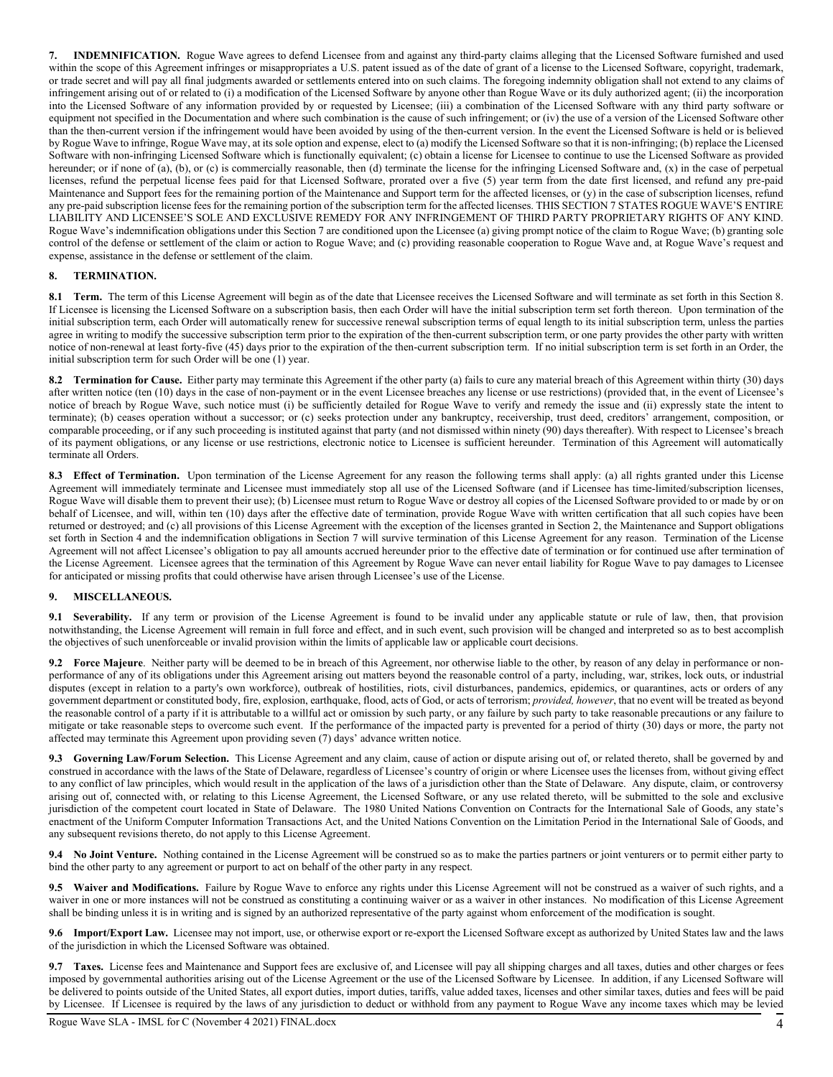**7. INDEMNIFICATION.** Rogue Wave agrees to defend Licensee from and against any third-party claims alleging that the Licensed Software furnished and used within the scope of this Agreement infringes or misappropriates a U.S. patent issued as of the date of grant of a license to the Licensed Software, copyright, trademark, or trade secret and will pay all final judgments awarded or settlements entered into on such claims. The foregoing indemnity obligation shall not extend to any claims of infringement arising out of or related to (i) a modification of the Licensed Software by anyone other than Rogue Wave or its duly authorized agent; (ii) the incorporation into the Licensed Software of any information provided by or requested by Licensee; (iii) a combination of the Licensed Software with any third party software or equipment not specified in the Documentation and where such combination is the cause of such infringement; or (iv) the use of a version of the Licensed Software other than the then-current version if the infringement would have been avoided by using of the then-current version. In the event the Licensed Software is held or is believed by Rogue Wave to infringe, Rogue Wave may, at its sole option and expense, elect to (a) modify the Licensed Software so that it is non-infringing; (b) replace the Licensed Software with non-infringing Licensed Software which is functionally equivalent; (c) obtain a license for Licensee to continue to use the Licensed Software as provided hereunder; or if none of (a), (b), or (c) is commercially reasonable, then (d) terminate the license for the infringing Licensed Software and, (x) in the case of perpetual licenses, refund the perpetual license fees paid for that Licensed Software, prorated over a five (5) year term from the date first licensed, and refund any pre-paid Maintenance and Support fees for the remaining portion of the Maintenance and Support term for the affected licenses, or (y) in the case of subscription licenses, refund any pre-paid subscription license fees for the remaining portion of the subscription term for the affected licenses. THIS SECTION 7 STATES ROGUE WAVE'S ENTIRE LIABILITY AND LICENSEE'S SOLE AND EXCLUSIVE REMEDY FOR ANY INFRINGEMENT OF THIRD PARTY PROPRIETARY RIGHTS OF ANY KIND. Rogue Wave's indemnification obligations under this Section 7 are conditioned upon the Licensee (a) giving prompt notice of the claim to Rogue Wave; (b) granting sole control of the defense or settlement of the claim or action to Rogue Wave; and (c) providing reasonable cooperation to Rogue Wave and, at Rogue Wave's request and expense, assistance in the defense or settlement of the claim.

## **8. TERMINATION.**

**8.1 Term.** The term of this License Agreement will begin as of the date that Licensee receives the Licensed Software and will terminate as set forth in this Section 8. If Licensee is licensing the Licensed Software on a subscription basis, then each Order will have the initial subscription term set forth thereon. Upon termination of the initial subscription term, each Order will automatically renew for successive renewal subscription terms of equal length to its initial subscription term, unless the parties agree in writing to modify the successive subscription term prior to the expiration of the then-current subscription term, or one party provides the other party with written notice of non-renewal at least forty-five (45) days prior to the expiration of the then-current subscription term. If no initial subscription term is set forth in an Order, the initial subscription term for such Order will be one (1) year.

**8.2 Termination for Cause.** Either party may terminate this Agreement if the other party (a) fails to cure any material breach of this Agreement within thirty (30) days after written notice (ten (10) days in the case of non-payment or in the event Licensee breaches any license or use restrictions) (provided that, in the event of Licensee's notice of breach by Rogue Wave, such notice must (i) be sufficiently detailed for Rogue Wave to verify and remedy the issue and (ii) expressly state the intent to terminate); (b) ceases operation without a successor; or (c) seeks protection under any bankruptcy, receivership, trust deed, creditors' arrangement, composition, or comparable proceeding, or if any such proceeding is instituted against that party (and not dismissed within ninety (90) days thereafter). With respect to Licensee's breach of its payment obligations, or any license or use restrictions, electronic notice to Licensee is sufficient hereunder. Termination of this Agreement will automatically terminate all Orders.

8.3 **Effect of Termination.** Upon termination of the License Agreement for any reason the following terms shall apply: (a) all rights granted under this License Agreement will immediately terminate and Licensee must immediately stop all use of the Licensed Software (and if Licensee has time-limited/subscription licenses, Rogue Wave will disable them to prevent their use); (b) Licensee must return to Rogue Wave or destroy all copies of the Licensed Software provided to or made by or on behalf of Licensee, and will, within ten (10) days after the effective date of termination, provide Rogue Wave with written certification that all such copies have been returned or destroyed; and (c) all provisions of this License Agreement with the exception of the licenses granted in Section 2, the Maintenance and Support obligations set forth in Section 4 and the indemnification obligations in Section 7 will survive termination of this License Agreement for any reason. Termination of the License Agreement will not affect Licensee's obligation to pay all amounts accrued hereunder prior to the effective date of termination or for continued use after termination of the License Agreement. Licensee agrees that the termination of this Agreement by Rogue Wave can never entail liability for Rogue Wave to pay damages to Licensee for anticipated or missing profits that could otherwise have arisen through Licensee's use of the License.

## **9. MISCELLANEOUS.**

**9.1 Severability.** If any term or provision of the License Agreement is found to be invalid under any applicable statute or rule of law, then, that provision notwithstanding, the License Agreement will remain in full force and effect, and in such event, such provision will be changed and interpreted so as to best accomplish the objectives of such unenforceable or invalid provision within the limits of applicable law or applicable court decisions.

**9.2 Force Majeure**. Neither party will be deemed to be in breach of this Agreement, nor otherwise liable to the other, by reason of any delay in performance or nonperformance of any of its obligations under this Agreement arising out matters beyond the reasonable control of a party, including, war, strikes, lock outs, or industrial disputes (except in relation to a party's own workforce), outbreak of hostilities, riots, civil disturbances, pandemics, epidemics, or quarantines, acts or orders of any government department or constituted body, fire, explosion, earthquake, flood, acts of God, or acts of terrorism; *provided, however*, that no event will be treated as beyond the reasonable control of a party if it is attributable to a willful act or omission by such party, or any failure by such party to take reasonable precautions or any failure to mitigate or take reasonable steps to overcome such event. If the performance of the impacted party is prevented for a period of thirty (30) days or more, the party not affected may terminate this Agreement upon providing seven (7) days' advance written notice.

**9.3 Governing Law/Forum Selection.** This License Agreement and any claim, cause of action or dispute arising out of, or related thereto, shall be governed by and construed in accordance with the laws of the State of Delaware, regardless of Licensee's country of origin or where Licensee uses the licenses from, without giving effect to any conflict of law principles, which would result in the application of the laws of a jurisdiction other than the State of Delaware. Any dispute, claim, or controversy arising out of, connected with, or relating to this License Agreement, the Licensed Software, or any use related thereto, will be submitted to the sole and exclusive jurisdiction of the competent court located in State of Delaware. The 1980 United Nations Convention on Contracts for the International Sale of Goods, any state's enactment of the Uniform Computer Information Transactions Act, and the United Nations Convention on the Limitation Period in the International Sale of Goods, and any subsequent revisions thereto, do not apply to this License Agreement.

**9.4 No Joint Venture.** Nothing contained in the License Agreement will be construed so as to make the parties partners or joint venturers or to permit either party to bind the other party to any agreement or purport to act on behalf of the other party in any respect.

**9.5 Waiver and Modifications.** Failure by Rogue Wave to enforce any rights under this License Agreement will not be construed as a waiver of such rights, and a waiver in one or more instances will not be construed as constituting a continuing waiver or as a waiver in other instances. No modification of this License Agreement shall be binding unless it is in writing and is signed by an authorized representative of the party against whom enforcement of the modification is sought.

**9.6 Import/Export Law.** Licensee may not import, use, or otherwise export or re-export the Licensed Software except as authorized by United States law and the laws of the jurisdiction in which the Licensed Software was obtained.

**9.7 Taxes.** License fees and Maintenance and Support fees are exclusive of, and Licensee will pay all shipping charges and all taxes, duties and other charges or fees imposed by governmental authorities arising out of the License Agreement or the use of the Licensed Software by Licensee. In addition, if any Licensed Software will be delivered to points outside of the United States, all export duties, import duties, tariffs, value added taxes, licenses and other similar taxes, duties and fees will be paid by Licensee. If Licensee is required by the laws of any jurisdiction to deduct or withhold from any payment to Rogue Wave any income taxes which may be levied